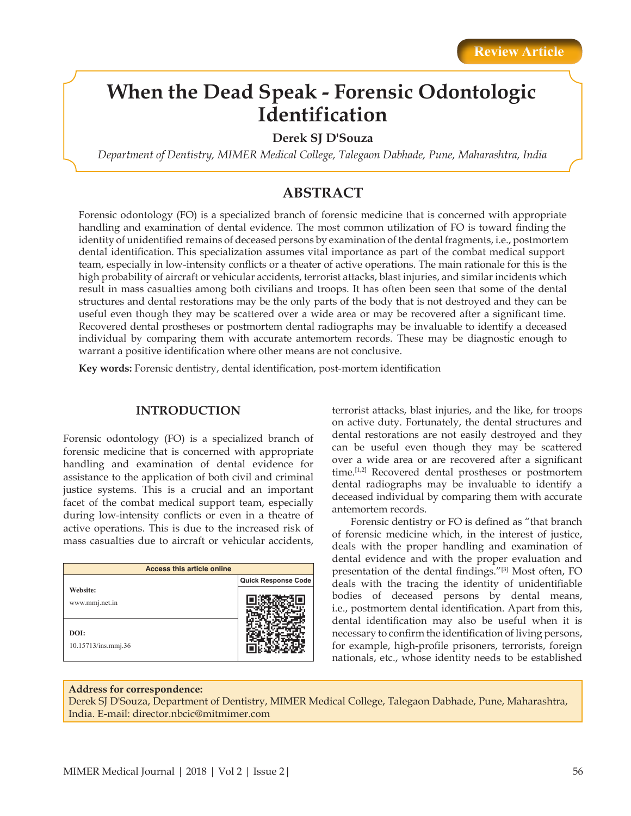# **When the Dead Speak - Forensic Odontologic Identification**

**Derek SJ D'Souza**

*Department of Dentistry, MIMER Medical College, Talegaon Dabhade, Pune, Maharashtra, India*

# **ABSTRACT**

Forensic odontology (FO) is a specialized branch of forensic medicine that is concerned with appropriate handling and examination of dental evidence. The most common utilization of FO is toward finding the identity of unidentified remains of deceased persons by examination of the dental fragments, i.e., postmortem dental identification. This specialization assumes vital importance as part of the combat medical support team, especially in low-intensity conflicts or a theater of active operations. The main rationale for this is the high probability of aircraft or vehicular accidents, terrorist attacks, blast injuries, and similar incidents which result in mass casualties among both civilians and troops. It has often been seen that some of the dental structures and dental restorations may be the only parts of the body that is not destroyed and they can be useful even though they may be scattered over a wide area or may be recovered after a significant time. Recovered dental prostheses or postmortem dental radiographs may be invaluable to identify a deceased individual by comparing them with accurate antemortem records. These may be diagnostic enough to warrant a positive identification where other means are not conclusive.

**Key words:** Forensic dentistry, dental identification, post-mortem identification

## **INTRODUCTION**

Forensic odontology (FO) is a specialized branch of forensic medicine that is concerned with appropriate handling and examination of dental evidence for assistance to the application of both civil and criminal justice systems. This is a crucial and an important facet of the combat medical support team, especially during low-intensity conflicts or even in a theatre of active operations. This is due to the increased risk of mass casualties due to aircraft or vehicular accidents,

| <b>Access this article online</b> |                     |
|-----------------------------------|---------------------|
|                                   | Quick Response Code |
| Website:<br>www.mmj.net.in        |                     |
| DOI:<br>10.15713/ins.mmj.36       |                     |

terrorist attacks, blast injuries, and the like, for troops on active duty. Fortunately, the dental structures and dental restorations are not easily destroyed and they can be useful even though they may be scattered over a wide area or are recovered after a significant time.[1,2] Recovered dental prostheses or postmortem dental radiographs may be invaluable to identify a deceased individual by comparing them with accurate antemortem records.

Forensic dentistry or FO is defined as "that branch of forensic medicine which, in the interest of justice, deals with the proper handling and examination of dental evidence and with the proper evaluation and presentation of the dental findings."[3] Most often, FO deals with the tracing the identity of unidentifiable bodies of deceased persons by dental means, i.e., postmortem dental identification. Apart from this, dental identification may also be useful when it is necessary to confirm the identification of living persons, for example, high-profile prisoners, terrorists, foreign nationals, etc., whose identity needs to be established

### **Address for correspondence:**

Derek SJ D'Souza, Department of Dentistry, MIMER Medical College, Talegaon Dabhade, Pune, Maharashtra, India. E-mail: director.nbcic@mitmimer.com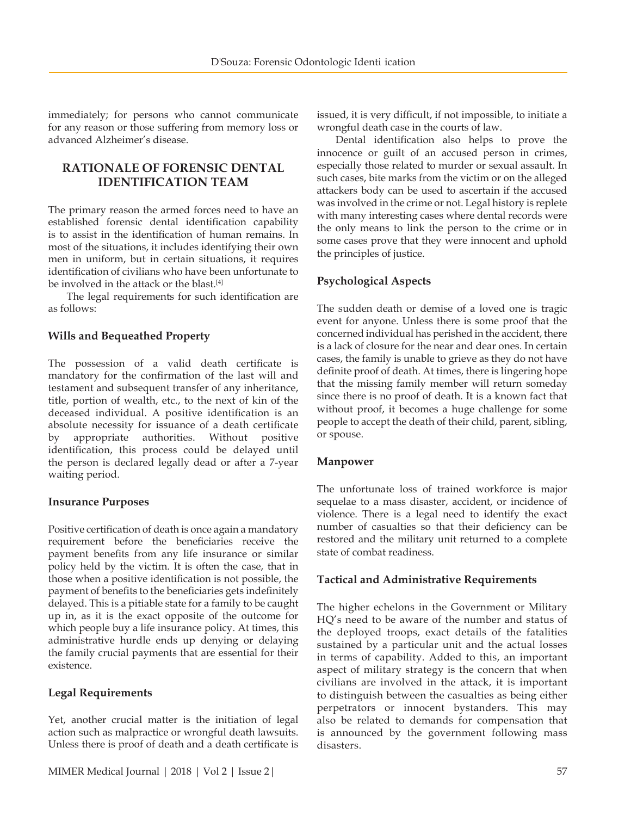immediately; for persons who cannot communicate for any reason or those suffering from memory loss or advanced Alzheimer's disease.

# **RATIONALE OF FORENSIC DENTAL IDENTIFICATION TEAM**

The primary reason the armed forces need to have an established forensic dental identification capability is to assist in the identification of human remains. In most of the situations, it includes identifying their own men in uniform, but in certain situations, it requires identification of civilians who have been unfortunate to be involved in the attack or the blast.<sup>[4]</sup>

The legal requirements for such identification are as follows:

# **Wills and Bequeathed Property**

The possession of a valid death certificate is mandatory for the confirmation of the last will and testament and subsequent transfer of any inheritance, title, portion of wealth, etc., to the next of kin of the deceased individual. A positive identification is an absolute necessity for issuance of a death certificate by appropriate authorities. Without positive identification, this process could be delayed until the person is declared legally dead or after a 7-year waiting period.

## **Insurance Purposes**

Positive certification of death is once again a mandatory requirement before the beneficiaries receive the payment benefits from any life insurance or similar policy held by the victim. It is often the case, that in those when a positive identification is not possible, the payment of benefits to the beneficiaries gets indefinitely delayed. This is a pitiable state for a family to be caught up in, as it is the exact opposite of the outcome for which people buy a life insurance policy. At times, this administrative hurdle ends up denying or delaying the family crucial payments that are essential for their existence.

# **Legal Requirements**

Yet, another crucial matter is the initiation of legal action such as malpractice or wrongful death lawsuits. Unless there is proof of death and a death certificate is issued, it is very difficult, if not impossible, to initiate a wrongful death case in the courts of law.

Dental identification also helps to prove the innocence or guilt of an accused person in crimes, especially those related to murder or sexual assault. In such cases, bite marks from the victim or on the alleged attackers body can be used to ascertain if the accused was involved in the crime or not. Legal history is replete with many interesting cases where dental records were the only means to link the person to the crime or in some cases prove that they were innocent and uphold the principles of justice.

# **Psychological Aspects**

The sudden death or demise of a loved one is tragic event for anyone. Unless there is some proof that the concerned individual has perished in the accident, there is a lack of closure for the near and dear ones. In certain cases, the family is unable to grieve as they do not have definite proof of death. At times, there is lingering hope that the missing family member will return someday since there is no proof of death. It is a known fact that without proof, it becomes a huge challenge for some people to accept the death of their child, parent, sibling, or spouse.

## **Manpower**

The unfortunate loss of trained workforce is major sequelae to a mass disaster, accident, or incidence of violence. There is a legal need to identify the exact number of casualties so that their deficiency can be restored and the military unit returned to a complete state of combat readiness.

# **Tactical and Administrative Requirements**

The higher echelons in the Government or Military HQ's need to be aware of the number and status of the deployed troops, exact details of the fatalities sustained by a particular unit and the actual losses in terms of capability. Added to this, an important aspect of military strategy is the concern that when civilians are involved in the attack, it is important to distinguish between the casualties as being either perpetrators or innocent bystanders. This may also be related to demands for compensation that is announced by the government following mass disasters.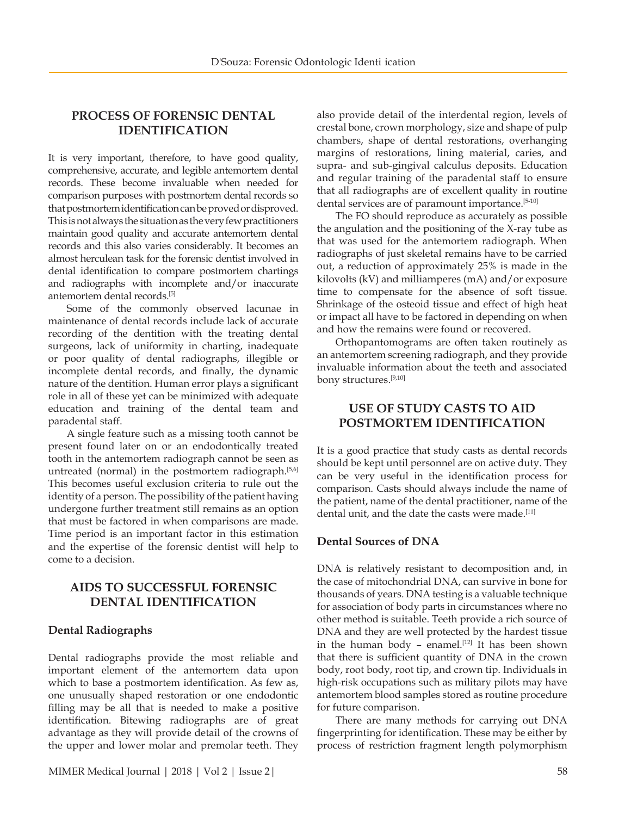# **PROCESS OF FORENSIC DENTAL IDENTIFICATION**

It is very important, therefore, to have good quality, comprehensive, accurate, and legible antemortem dental records. These become invaluable when needed for comparison purposes with postmortem dental records so that postmortem identification can be proved or disproved. This is not always the situation as the very few practitioners maintain good quality and accurate antemortem dental records and this also varies considerably. It becomes an almost herculean task for the forensic dentist involved in dental identification to compare postmortem chartings and radiographs with incomplete and/or inaccurate antemortem dental records.[5]

Some of the commonly observed lacunae in maintenance of dental records include lack of accurate recording of the dentition with the treating dental surgeons, lack of uniformity in charting, inadequate or poor quality of dental radiographs, illegible or incomplete dental records, and finally, the dynamic nature of the dentition. Human error plays a significant role in all of these yet can be minimized with adequate education and training of the dental team and paradental staff.

A single feature such as a missing tooth cannot be present found later on or an endodontically treated tooth in the antemortem radiograph cannot be seen as untreated (normal) in the postmortem radiograph.<sup>[5,6]</sup> This becomes useful exclusion criteria to rule out the identity of a person. The possibility of the patient having undergone further treatment still remains as an option that must be factored in when comparisons are made. Time period is an important factor in this estimation and the expertise of the forensic dentist will help to come to a decision.

# **AIDS TO SUCCESSFUL FORENSIC DENTAL IDENTIFICATION**

## **Dental Radiographs**

Dental radiographs provide the most reliable and important element of the antemortem data upon which to base a postmortem identification. As few as, one unusually shaped restoration or one endodontic filling may be all that is needed to make a positive identification. Bitewing radiographs are of great advantage as they will provide detail of the crowns of the upper and lower molar and premolar teeth. They

also provide detail of the interdental region, levels of crestal bone, crown morphology, size and shape of pulp chambers, shape of dental restorations, overhanging margins of restorations, lining material, caries, and supra- and sub-gingival calculus deposits. Education and regular training of the paradental staff to ensure that all radiographs are of excellent quality in routine dental services are of paramount importance.<sup>[5-10]</sup>

The FO should reproduce as accurately as possible the angulation and the positioning of the X-ray tube as that was used for the antemortem radiograph. When radiographs of just skeletal remains have to be carried out, a reduction of approximately 25% is made in the kilovolts (kV) and milliamperes (mA) and/or exposure time to compensate for the absence of soft tissue. Shrinkage of the osteoid tissue and effect of high heat or impact all have to be factored in depending on when and how the remains were found or recovered.

Orthopantomograms are often taken routinely as an antemortem screening radiograph, and they provide invaluable information about the teeth and associated bony structures.[9,10]

# **USE OF STUDY CASTS TO AID POSTMORTEM IDENTIFICATION**

It is a good practice that study casts as dental records should be kept until personnel are on active duty. They can be very useful in the identification process for comparison. Casts should always include the name of the patient, name of the dental practitioner, name of the dental unit, and the date the casts were made.<sup>[11]</sup>

# **Dental Sources of DNA**

DNA is relatively resistant to decomposition and, in the case of mitochondrial DNA, can survive in bone for thousands of years. DNA testing is a valuable technique for association of body parts in circumstances where no other method is suitable. Teeth provide a rich source of DNA and they are well protected by the hardest tissue in the human body - enamel. $[12]$  It has been shown that there is sufficient quantity of DNA in the crown body, root body, root tip, and crown tip. Individuals in high-risk occupations such as military pilots may have antemortem blood samples stored as routine procedure for future comparison.

There are many methods for carrying out DNA fingerprinting for identification. These may be either by process of restriction fragment length polymorphism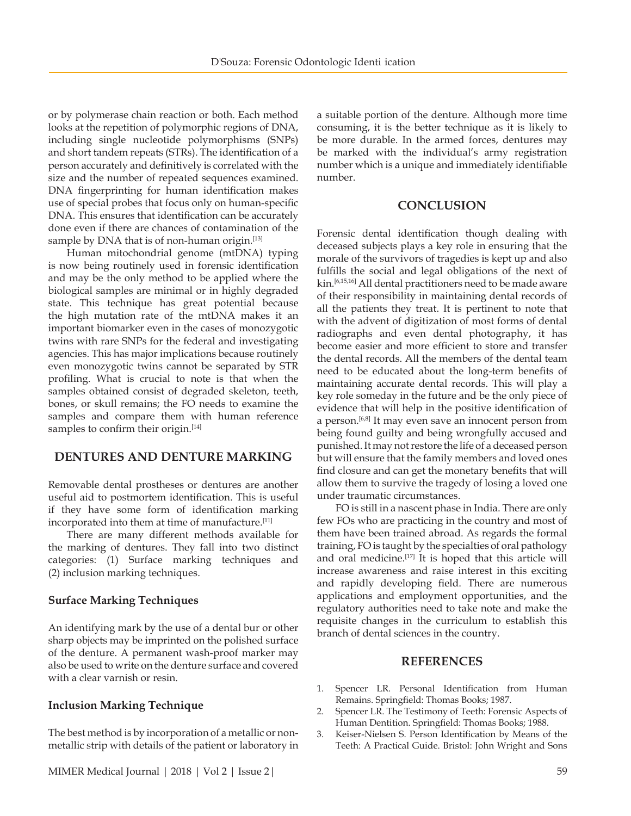or by polymerase chain reaction or both. Each method looks at the repetition of polymorphic regions of DNA, including single nucleotide polymorphisms (SNPs) and short tandem repeats (STRs). The identification of a person accurately and definitively is correlated with the size and the number of repeated sequences examined. DNA fingerprinting for human identification makes use of special probes that focus only on human-specific DNA. This ensures that identification can be accurately done even if there are chances of contamination of the sample by DNA that is of non-human origin.<sup>[13]</sup>

Human mitochondrial genome (mtDNA) typing is now being routinely used in forensic identification and may be the only method to be applied where the biological samples are minimal or in highly degraded state. This technique has great potential because the high mutation rate of the mtDNA makes it an important biomarker even in the cases of monozygotic twins with rare SNPs for the federal and investigating agencies. This has major implications because routinely even monozygotic twins cannot be separated by STR profiling. What is crucial to note is that when the samples obtained consist of degraded skeleton, teeth, bones, or skull remains; the FO needs to examine the samples and compare them with human reference samples to confirm their origin.<sup>[14]</sup>

## **DENTURES AND DENTURE MARKING**

Removable dental prostheses or dentures are another useful aid to postmortem identification. This is useful if they have some form of identification marking incorporated into them at time of manufacture.<sup>[11]</sup>

There are many different methods available for the marking of dentures. They fall into two distinct categories: (1) Surface marking techniques and (2) inclusion marking techniques.

## **Surface Marking Techniques**

An identifying mark by the use of a dental bur or other sharp objects may be imprinted on the polished surface of the denture. A permanent wash-proof marker may also be used to write on the denture surface and covered with a clear varnish or resin.

### **Inclusion Marking Technique**

The best method is by incorporation of a metallic or nonmetallic strip with details of the patient or laboratory in

a suitable portion of the denture. Although more time consuming, it is the better technique as it is likely to be more durable. In the armed forces, dentures may be marked with the individual's army registration number which is a unique and immediately identifiable number.

## **CONCLUSION**

Forensic dental identification though dealing with deceased subjects plays a key role in ensuring that the morale of the survivors of tragedies is kept up and also fulfills the social and legal obligations of the next of kin.<sup>[6,15,16]</sup> All dental practitioners need to be made aware of their responsibility in maintaining dental records of all the patients they treat. It is pertinent to note that with the advent of digitization of most forms of dental radiographs and even dental photography, it has become easier and more efficient to store and transfer the dental records. All the members of the dental team need to be educated about the long-term benefits of maintaining accurate dental records. This will play a key role someday in the future and be the only piece of evidence that will help in the positive identification of a person.<sup>[6,8]</sup> It may even save an innocent person from being found guilty and being wrongfully accused and punished. It may not restore the life of a deceased person but will ensure that the family members and loved ones find closure and can get the monetary benefits that will allow them to survive the tragedy of losing a loved one under traumatic circumstances.

FO is still in a nascent phase in India. There are only few FOs who are practicing in the country and most of them have been trained abroad. As regards the formal training, FO is taught by the specialties of oral pathology and oral medicine.<sup>[17]</sup> It is hoped that this article will increase awareness and raise interest in this exciting and rapidly developing field. There are numerous applications and employment opportunities, and the regulatory authorities need to take note and make the requisite changes in the curriculum to establish this branch of dental sciences in the country.

#### **REFERENCES**

- 1. Spencer LR. Personal Identification from Human Remains. Springfield: Thomas Books; 1987.
- 2. Spencer LR. The Testimony of Teeth: Forensic Aspects of Human Dentition. Springfield: Thomas Books; 1988.
- 3. Keiser-Nielsen S. Person Identification by Means of the Teeth: A Practical Guide. Bristol: John Wright and Sons